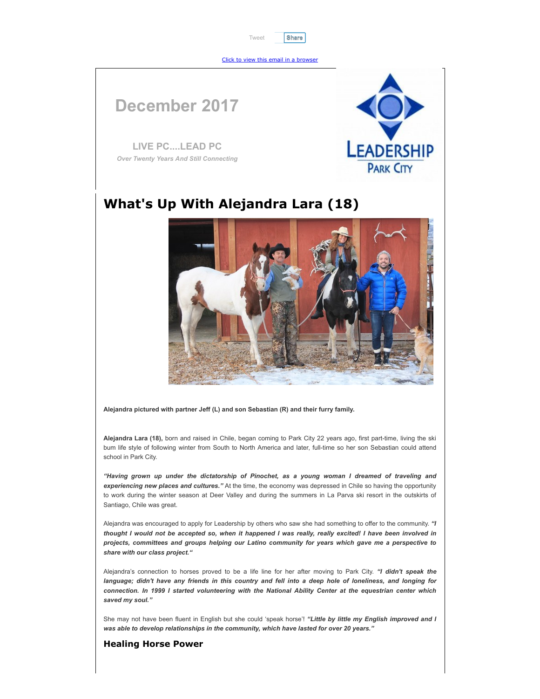[Tweet](https://twitter.com/intent/tweet?ref_src=twsrc%5Etfw&tw_p=tweetbutton) **[Share](javascript:void(0);)**

[Click to view this email in a browser](http://hosted.verticalresponse.com/1267529/487ed75a0a/TEST/TEST/)

# **December 2017**

**LIVE PC....LEAD PC** *Over Twenty Years And Still Connecting*



## **What's Up With Alejandra Lara (18)**



**Alejandra pictured with partner Jeff (L) and son Sebastian (R) and their furry family.**

**Alejandra Lara (18),** born and raised in Chile, began coming to Park City 22 years ago, first part-time, living the ski bum life style of following winter from South to North America and later, full-time so her son Sebastian could attend school in Park City.

*"Having grown up under the dictatorship of Pinochet, as a young woman I dreamed of traveling and experiencing new places and cultures."* At the time, the economy was depressed in Chile so having the opportunity to work during the winter season at Deer Valley and during the summers in La Parva ski resort in the outskirts of Santiago, Chile was great.

Alejandra was encouraged to apply for Leadership by others who saw she had something to offer to the community. *"I thought I would not be accepted so, when it happened I was really, really excited! I have been involved in projects, committees and groups helping our Latino community for years which gave me a perspective to share with our class project."* 

Alejandra's connection to horses proved to be a life line for her after moving to Park City. *"I didn't speak the language; didn't have any friends in this country and fell into a deep hole of loneliness, and longing for connection. In 1999 I started volunteering with the National Ability Center at the equestrian center which saved my soul."* 

She may not have been fluent in English but she could 'speak horse'! *"Little by little my English improved and I was able to develop relationships in the community, which have lasted for over 20 years."*

#### **Healing Horse Power**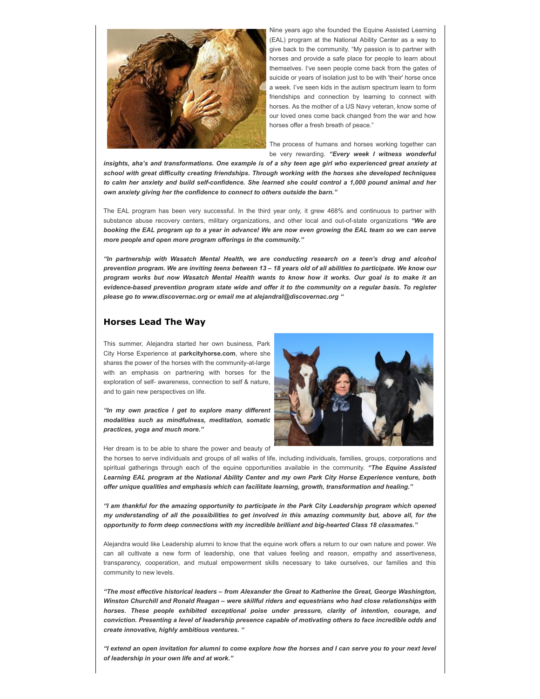

Nine years ago she founded the Equine Assisted Learning (EAL) program at the National Ability Center as a way to give back to the community. "My passion is to partner with horses and provide a safe place for people to learn about themselves. I've seen people come back from the gates of suicide or years of isolation just to be with 'their' horse once a week. I've seen kids in the autism spectrum learn to form friendships and connection by learning to connect with horses. As the mother of a US Navy veteran, know some of our loved ones come back changed from the war and how horses offer a fresh breath of peace."

The process of humans and horses working together can be very rewarding. *"Every week I witness wonderful*

*insights, aha's and transformations. One example is of a shy teen age girl who experienced great anxiety at school with great difficulty creating friendships. Through working with the horses she developed techniques to calm her anxiety and build self-confidence. She learned she could control a 1,000 pound animal and her own anxiety giving her the confidence to connect to others outside the barn."* 

The EAL program has been very successful. In the third year only, it grew 468% and continuous to partner with substance abuse recovery centers, military organizations, and other local and out-of-state organizations *"We are booking the EAL program up to a year in advance! We are now even growing the EAL team so we can serve more people and open more program offerings in the community."* 

*"In partnership with Wasatch Mental Health, we are conducting research on a teen's drug and alcohol prevention program. We are inviting teens between 13 – 18 years old of all abilities to participate. We know our program works but now Wasatch Mental Health wants to know how it works. Our goal is to make it an evidence-based prevention program state wide and offer it to the community on a regular basis. To register please go to www.discovernac.org or email me at alejandral@discovernac.org "*

#### **Horses Lead The Way**

This summer, Alejandra started her own business, Park City Horse Experience at **parkcityhorse.com**, where she shares the power of the horses with the community-at-large with an emphasis on partnering with horses for the exploration of self- awareness, connection to self & nature, and to gain new perspectives on life.

*"In my own practice I get to explore many different modalities such as mindfulness, meditation, somatic practices, yoga and much more."* 



Her dream is to be able to share the power and beauty of

the horses to serve individuals and groups of all walks of life, including individuals, families, groups, corporations and spiritual gatherings through each of the equine opportunities available in the community. *"The Equine Assisted Learning EAL program at the National Ability Center and my own Park City Horse Experience venture, both offer unique qualities and emphasis which can facilitate learning, growth, transformation and healing."* 

*"I am thankful for the amazing opportunity to participate in the Park City Leadership program which opened my understanding of all the possibilities to get involved in this amazing community but, above all, for the opportunity to form deep connections with my incredible brilliant and big-hearted Class 18 classmates."* 

Alejandra would like Leadership alumni to know that the equine work offers a return to our own nature and power. We can all cultivate a new form of leadership, one that values feeling and reason, empathy and assertiveness, transparency, cooperation, and mutual empowerment skills necessary to take ourselves, our families and this community to new levels.

*"The most effective historical leaders – from Alexander the Great to Katherine the Great, George Washington, Winston Churchill and Ronald Reagan – were skillful riders and equestrians who had close relationships with horses. These people exhibited exceptional poise under pressure, clarity of intention, courage, and conviction. Presenting a level of leadership presence capable of motivating others to face incredible odds and create innovative, highly ambitious ventures. "* 

*"I extend an open invitation for alumni to come explore how the horses and I can serve you to your next level of leadership in your own life and at work."*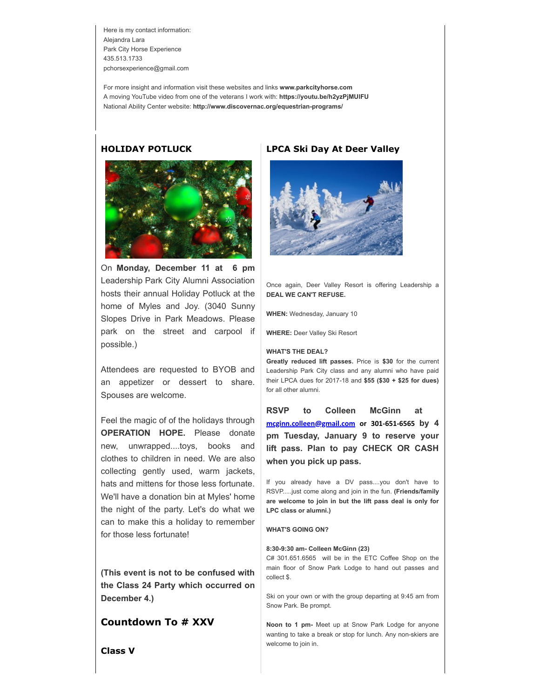Here is my contact information: Alejandra Lara Park City Horse Experience 435.513.1733 pchorsexperience@gmail.com

For more insight and information visit these websites and links **www.parkcityhorse.com**  A moving YouTube video from one of the veterans I work with: **https://youtu.be/h2yzPjMUlFU** National Ability Center website: **http://www.discovernac.org/equestrian-programs/**

#### **HOLIDAY POTLUCK**



On **Monday, December 11 at 6 pm** Leadership Park City Alumni Association hosts their annual Holiday Potluck at the home of Myles and Joy. (3040 Sunny Slopes Drive in Park Meadows. Please park on the street and carpool if possible.)

Attendees are requested to BYOB and an appetizer or dessert to share. Spouses are welcome.

Feel the magic of of the holidays through **OPERATION HOPE.** Please donate new, unwrapped....toys, books and clothes to children in need. We are also collecting gently used, warm jackets, hats and mittens for those less fortunate. We'll have a donation bin at Myles' home the night of the party. Let's do what we can to make this a holiday to remember for those less fortunate!

**(This event is not to be confused with the Class 24 Party which occurred on December 4.)**

### **Countdown To # XXV**

### **LPCA Ski Day At Deer Valley**



Once again, Deer Valley Resort is offering Leadership a **DEAL WE CAN'T REFUSE.**

**WHEN:** Wednesday, January 10

**WHERE:** Deer Valley Ski Resort

#### **WHAT'S THE DEAL?**

**Greatly reduced lift passes.** Price is **\$30** for the current Leadership Park City class and any alumni who have paid their LPCA dues for 2017-18 and **\$55 (\$30 + \$25 for dues)** for all other alumni.

**RSVP to Colleen McGinn at [mcginn.colleen@gmail.com](mailto:mcginn.colleen@gmail.com) or 301-651-6565 by 4 pm Tuesday, January 9 to reserve your lift pass. Plan to pay CHECK OR CASH when you pick up pass.** 

If you already have a DV pass....you don't have to RSVP.....just come along and join in the fun. **(Friends/family are welcome to join in but the lift pass deal is only for LPC class or alumni.)**

#### **WHAT'S GOING ON?**

#### **8:30-9:30 am- Colleen McGinn (23)**

C# 301.651.6565 will be in the ETC Coffee Shop on the main floor of Snow Park Lodge to hand out passes and collect \$.

Ski on your own or with the group departing at 9:45 am from Snow Park. Be prompt.

**Noon to 1 pm-** Meet up at Snow Park Lodge for anyone wanting to take a break or stop for lunch. Any non-skiers are welcome to join in.

**Class V**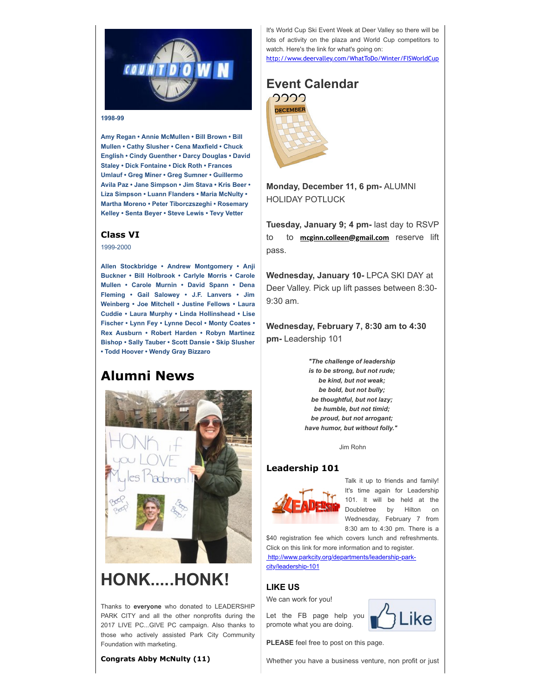

#### **1998-99**

**Amy Regan • Annie McMullen • Bill Brown • Bill Mullen • Cathy Slusher • Cena Maxfield • Chuck English • Cindy Guenther • Darcy Douglas • David Staley • Dick Fontaine • Dick Roth • Frances Umlauf • Greg Miner • Greg Sumner • Guillermo Avila Paz • Jane Simpson • Jim Stava • Kris Beer • Liza Simpson • Luann Flanders • Maria McNulty • Martha Moreno • Peter Tiborczszeghi • Rosemary Kelley • Senta Beyer • Steve Lewis • Tevy Vetter**

#### **Class VI**

1999-2000

**Allen Stockbridge • Andrew Montgomery • Anji Buckner • Bill Holbrook • Carlyle Morris • Carole Mullen • Carole Murnin • David Spann • Dena Fleming • Gail Salowey • J.F. Lanvers • Jim Weinberg • Joe Mitchell • Justine Fellows • Laura Cuddie • Laura Murphy • Linda Hollinshead • Lise Fischer • Lynn Fey • Lynne Decol • Monty Coates • Rex Ausburn • Robert Harden • Robyn Martinez Bishop • Sally Tauber • Scott Dansie • Skip Slusher • Todd Hoover • Wendy Gray Bizzaro**

## **Alumni News**



# **HONK.....HONK!**

Thanks to **everyone** who donated to LEADERSHIP PARK CITY and all the other nonprofits during the 2017 LIVE PC...GIVE PC campaign. Also thanks to those who actively assisted Park City Community Foundation with marketing.

**Congrats Abby McNulty (11)**

It's World Cup Ski Event Week at Deer Valley so there will be lots of activity on the plaza and World Cup competitors to watch. Here's the link for what's going on:

[http://www.deervalley.com/WhatToDo/Winter/FISWorldCup](http://cts.vresp.com/c/?LeadershipParkCity/487ed75a0a/1b170226bf/04767ac69f)



**Monday, December 11, 6 pm-** ALUMNI HOLIDAY POTLUCK

**Tuesday, January 9; 4 pm-** last day to RSVP to to **[mcginn.colleen@gmail.com](mailto:mcginn.colleen@gmail.com)** reserve lift pass.

**Wednesday, January 10-** LPCA SKI DAY at Deer Valley. Pick up lift passes between 8:30- 9:30 am.

**Wednesday, February 7, 8:30 am to 4:30 pm-** Leadership 101

> *"The challenge of leadership is to be strong, but not rude; be kind, but not weak; be bold, but not bully; be thoughtful, but not lazy; be humble, but not timid; be proud, but not arrogant; have humor, but without folly."*

> > Jim Rohn

#### **Leadership 101**



Talk it up to friends and family! It's time again for Leadership 101. It will be held at the Doubletree by Hilton on Wednesday, February 7 from 8:30 am to 4:30 pm. There is a

\$40 registration fee which covers lunch and refreshments. Click on this link for more information and to register.  [http://www.parkcity.org/departments/leadership-park](http://cts.vresp.com/c/?LeadershipParkCity/487ed75a0a/1b170226bf/c65ae1d599)city/leadership-101

#### **LIKE US**

We can work for you!

Let the FB page help you promote what you are doing.



**PLEASE** feel free to post on this page.

Whether you have a business venture, non profit or just